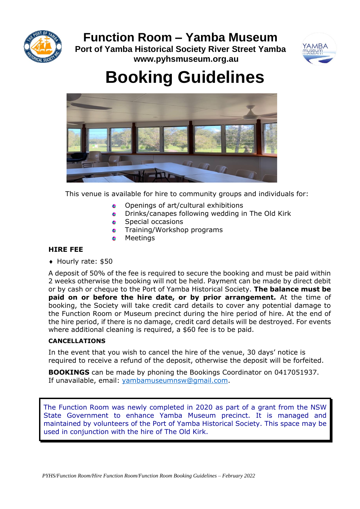**Function Room – Yamba Museum**



**Port of Yamba Historical Society River Street Yamba www.pyhsmuseum.org.au**



# **Booking Guidelines**



This venue is available for hire to community groups and individuals for:

- Openings of art/cultural exhibitions ÷
- $\bullet$ Drinks/canapes following wedding in The Old Kirk
- Special occasions  $\bullet$
- Training/Workshop programs ÷
- Meetings

### **HIRE FEE**

◆ Hourly rate: \$50

A deposit of 50% of the fee is required to secure the booking and must be paid within 2 weeks otherwise the booking will not be held. Payment can be made by direct debit or by cash or cheque to the Port of Yamba Historical Society. **The balance must be paid on or before the hire date, or by prior arrangement.** At the time of booking, the Society will take credit card details to cover any potential damage to the Function Room or Museum precinct during the hire period of hire. At the end of the hire period, if there is no damage, credit card details will be destroyed. For events where additional cleaning is required, a \$60 fee is to be paid.

### **CANCELLATIONS**

In the event that you wish to cancel the hire of the venue, 30 days' notice is required to receive a refund of the deposit, otherwise the deposit will be forfeited.

**BOOKINGS** can be made by phoning the Bookings Coordinator on 0417051937. If unavailable, email: [yambamuseumnsw@gmail.com.](mailto:yambamuseumnsw@gmail.com)

The Function Room was newly completed in 2020 as part of a grant from the NSW State Government to enhance Yamba Museum precinct. It is managed and maintained by volunteers of the Port of Yamba Historical Society. This space may be used in conjunction with the hire of The Old Kirk.